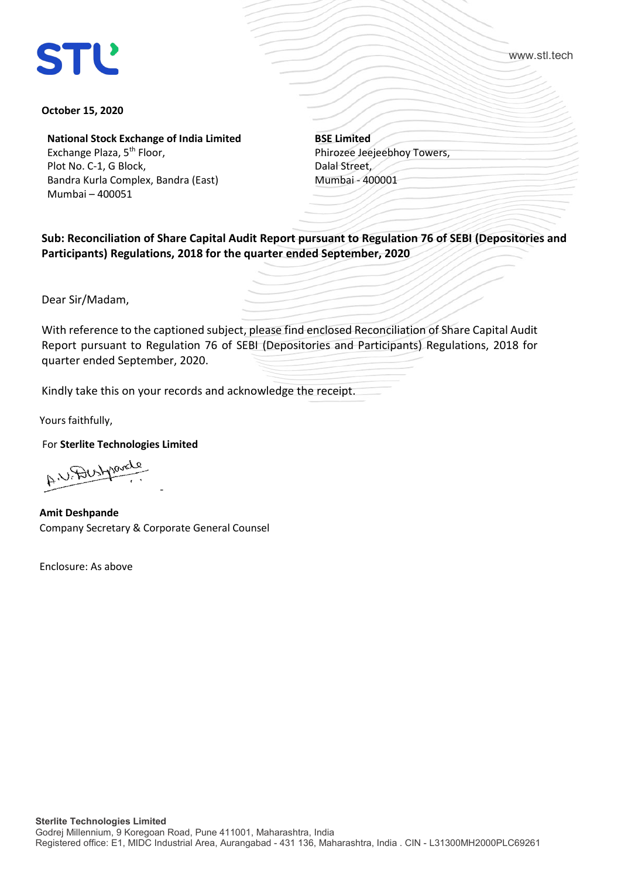

www.stl.tech

## **October 15, 2020**

**National Stock Exchange of India Limited** Exchange Plaza, 5<sup>th</sup> Floor, Plot No. C-1, G Block, Bandra Kurla Complex, Bandra (East) Mumbai – 400051

**BSE Limited** Phirozee Jeejeebhoy Towers, Dalal Street, Mumbai - 400001

**Sub: Reconciliation of Share Capital Audit Report pursuant to Regulation 76 of SEBI (Depositories and Participants) Regulations, 2018 for the quarter ended September, 2020**

Dear Sir/Madam,

With reference to the captioned subject, please find enclosed Reconciliation of Share Capital Audit Report pursuant to Regulation 76 of SEBI (Depositories and Participants) Regulations, 2018 for quarter ended September, 2020.

Kindly take this on your records and acknowledge the receipt.

Yours faithfully,

For **Sterlite Technologies Limited**

A U Dustparate -

**Amit Deshpande** Company Secretary & Corporate General Counsel

Enclosure: As above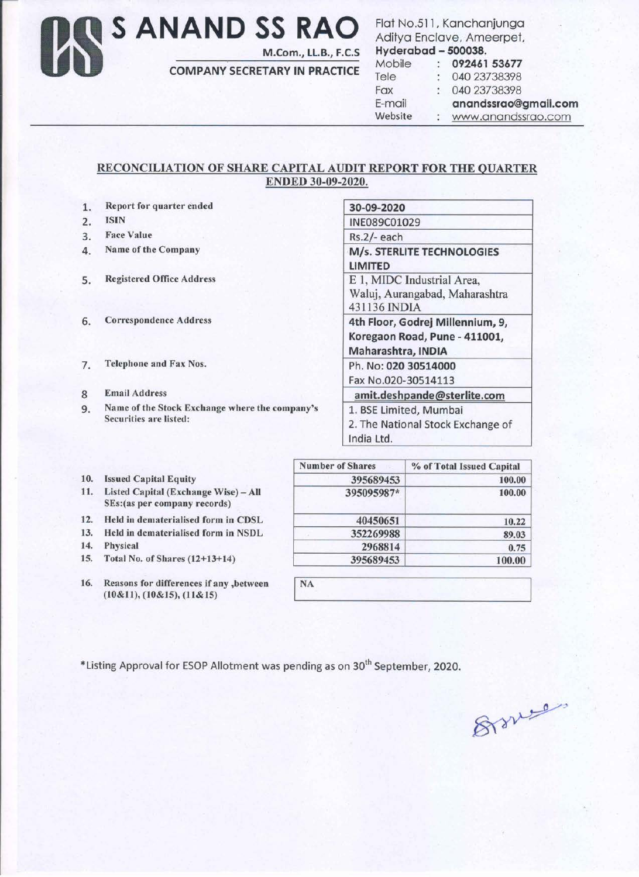Os **S ANAND SS RAO**  M.Com., LL.B., F.C.S Flat No.511 , Kanchanjunga Aditya Enclave, Ameerpet, Hyderabad - 500038.

| nyuerupuu – <del>Juuss</del> o. |                      |
|---------------------------------|----------------------|
| Mobile                          | 092461 53677         |
| Tele                            | 040 23738398         |
| Fax                             | 040 23738398         |
| E-mail                          | anandssrao@gmail.com |
| Website                         | www.anandssrao.com   |

## RECONCILIATION OF SHARE CAPITAL AUDIT REPORT FOR THE QUARTER ENDED 30-09-2020.

COMPANY SECRETARY IN PRACTICE

| 1. | Report for quarter ended                                                 | 30-09-2020                                                                              |  |  |
|----|--------------------------------------------------------------------------|-----------------------------------------------------------------------------------------|--|--|
| 2. | <b>ISIN</b>                                                              | INE089C01029                                                                            |  |  |
| 3. | <b>Face Value</b>                                                        | $Rs.2/-$ each                                                                           |  |  |
| 4. | Name of the Company                                                      | M/s. STERLITE TECHNOLOGIES<br><b>LIMITED</b>                                            |  |  |
| 5. | <b>Registered Office Address</b>                                         | E 1, MIDC Industrial Area,<br>Waluj, Aurangabad, Maharashtra<br>431136 INDIA            |  |  |
| 6. | <b>Correspondence Address</b>                                            | 4th Floor, Godrej Millennium, 9,<br>Koregaon Road, Pune - 411001,<br>Maharashtra, INDIA |  |  |
| 7. | <b>Telephone and Fax Nos.</b>                                            | Ph. No: 020 30514000<br>Fax No.020-30514113                                             |  |  |
| 8  | <b>Email Address</b>                                                     | amit.deshpande@sterlite.com                                                             |  |  |
| 9. | Name of the Stock Exchange where the company's<br>Securities are listed: | 1. BSE Limited, Mumbai<br>2. The National Stock Exchange of<br>India Ltd.               |  |  |

|     |                                                                       | <b>Number of Shares</b> | % of Total Issued Capital |
|-----|-----------------------------------------------------------------------|-------------------------|---------------------------|
| 10. | <b>Issued Capital Equity</b>                                          | 395689453               | 100.00                    |
| 11. | Listed Capital (Exchange Wise) - All<br>SEs: (as per company records) | 395095987*              | 100.00                    |
| 12. | Held in dematerialised form in CDSL                                   | 40450651                | 10.22                     |
| 13. | Held in dematerialised form in NSDL                                   | 352269988               | 89.03                     |
| 14. | Physical                                                              | 2968814                 | 0.75                      |
|     | 15. Total No. of Shares (12+13+14)                                    | 395689453               | 100.00                    |
|     |                                                                       |                         |                           |

**NA** 

16. Reasons for differences if any ,between (10&11), (10&15), (11&15)

\*Listing Approval for ESOP Allotment was pending as on 30<sup>th</sup> September, 2020.

Branco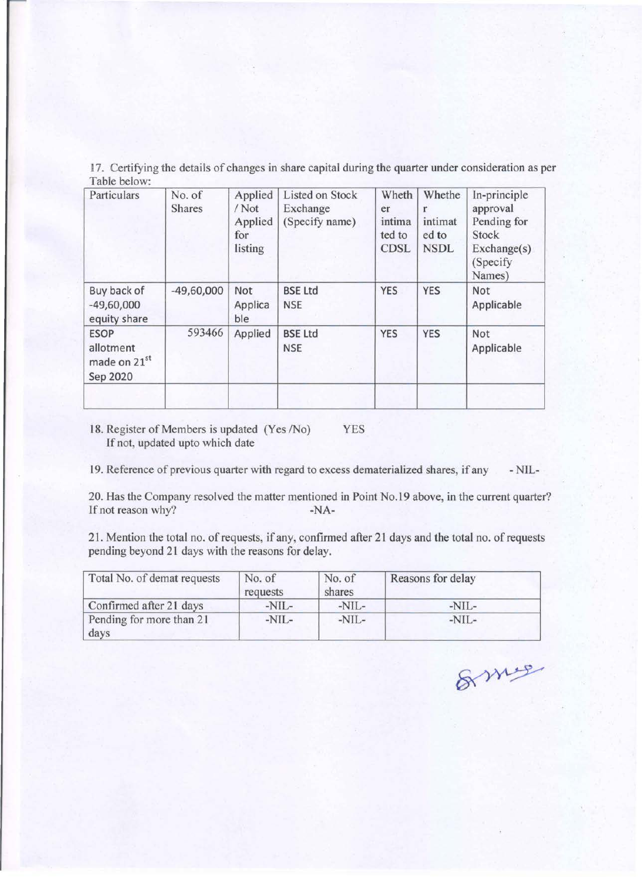17. Certifying the details of changes in share capital during the quarter under consideration as per Table below:

| Particulars                                                      | No. of<br><b>Shares</b> | Applied<br>$/$ Not<br>Applied<br>for<br>listing | <b>Listed on Stock</b><br>Exchange<br>(Specify name) | Wheth<br>er<br>intima<br>ted to<br><b>CDSL</b> | Whethe<br>intimat<br>ed to<br><b>NSDL</b> | In-principle<br>approval<br>Pending for<br>Stock<br>Exchange(s)<br>(Specify<br>Names) |
|------------------------------------------------------------------|-------------------------|-------------------------------------------------|------------------------------------------------------|------------------------------------------------|-------------------------------------------|---------------------------------------------------------------------------------------|
| Buy back of<br>$-49,60,000$<br>equity share                      | $-49,60,000$            | Not<br>Applica<br>ble                           | <b>BSE Ltd</b><br><b>NSE</b>                         | <b>YES</b>                                     | <b>YES</b>                                | Not<br>Applicable                                                                     |
| <b>ESOP</b><br>allotment<br>made on 21 <sup>st</sup><br>Sep 2020 | 593466                  | Applied                                         | <b>BSE Ltd</b><br><b>NSE</b>                         | <b>YES</b>                                     | <b>YES</b>                                | Not<br>Applicable                                                                     |

18. Register of Members is updated (Yes /No) YES If not, updated upto which date

19. Reference of previous quarter with regard to excess dematerialized shares, if any -NIL-

20. Has the Company resolved the matter mentioned in Point No.19 above, in the current quarter? If not reason why? -NA-

21. Mention the total no. of requests, if any, confirmed after 21 days and the total no. of requests pending beyond 21 days with the reasons for delay.

| Total No. of demat requests      | No. of<br>requests | No. of<br>shares | Reasons for delay |
|----------------------------------|--------------------|------------------|-------------------|
| Confirmed after 21 days          | $-NIL-$            | $-NIL-$          | $-NIL-$           |
| Pending for more than 21<br>days | $-NIL-$            | $-NIL-$          | $-NIL-$           |

& mus